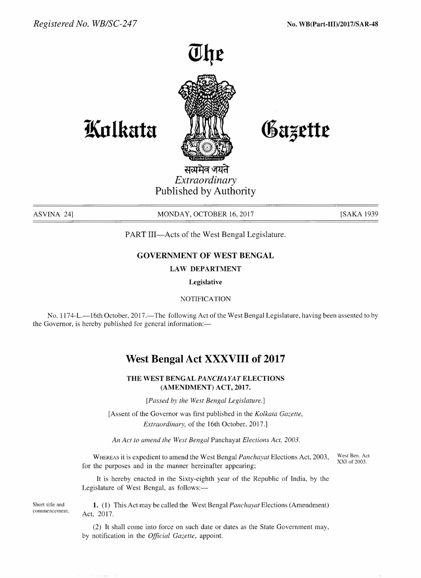

Gazette

**tl(nlkata**

सत्यमेव जयते *Extraordinary* Published by Authority

ASVINA 24] MONDAY, OCTOBER 16, 2017 [SAKA 1939]

PART III-Acts of the West Bengal Legislature.

### GOVERNMENT OF WEST BENGAL

#### LAW DEPARTMENT

Legislative

NOTIFICATION

No. 1174-L.-16th October, 2017.-The following Act of the West Bengal Legislature, having been assented to by the Governor, is hereby published for general information:—

# West Bengal Act XXXVIII of 2017

### THE WEST BENGAL *PANCHAYATELECTIONS* (AMENDMENT) ACT, 2017.

*[Passed by the West Bengal Legislature.]*

[Assent of the Governor was first published in the *Kolkata Gazette, Extraordinary,* of the 16th October, 2017.]

*An Act to amend the West Bengal* Panchayat *Elections Act, 2003.*

WHEREASit is expedient to amend the West Bengal *Panchayat* Elections Act, 2003, for the purposes and in the manner hereinafter appearing;

West Ben. Act XXI of 2003.

It is hereby enacted in the Sixty-eighth year of the Republic of India, by the Legislature of West Bengal, as follows:-

Short title and commencement.

1. (1) This Act may be called the West Bengal *Panchayat* Elections (Amendment) Act, 2017.

(2) It shall come into force on such date or dates as the State Government may, by notification in the *Official Gazette,* appoint.